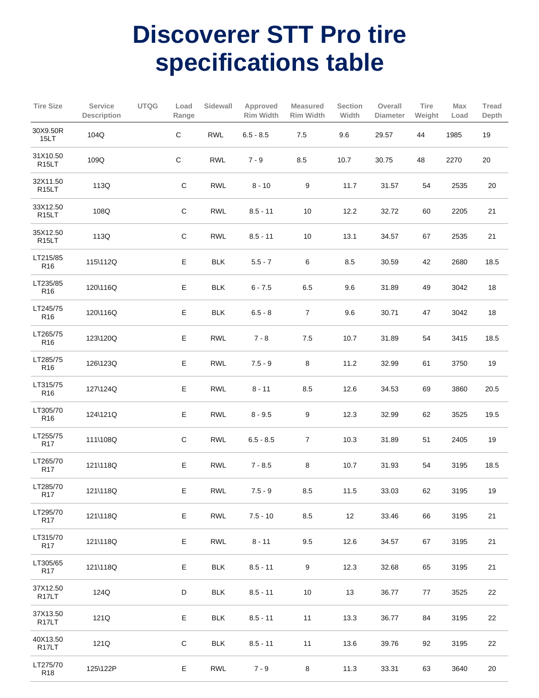## **Discoverer STT Pro tire specifications table**

| <b>Tire Size</b>               | Service<br><b>Description</b> | <b>UTQG</b> | Load<br>Range | Sidewall   | Approved<br><b>Rim Width</b> | <b>Measured</b><br><b>Rim Width</b> | Section<br>Width | Overall<br><b>Diameter</b> | Tire<br>Weight | Max<br>Load | Tread<br>Depth |
|--------------------------------|-------------------------------|-------------|---------------|------------|------------------------------|-------------------------------------|------------------|----------------------------|----------------|-------------|----------------|
| 30X9.50R<br>15LT               | 104Q                          |             | $\mathbf C$   | <b>RWL</b> | $6.5 - 8.5$                  | $7.5\,$                             | 9.6              | 29.57                      | 44             | 1985        | $19$           |
| 31X10.50<br>R <sub>15</sub> LT | 109Q                          |             | $\mathbf C$   | <b>RWL</b> | $7 - 9$                      | 8.5                                 | 10.7             | 30.75                      | 48             | 2270        | 20             |
| 32X11.50<br>R <sub>15</sub> LT | 113Q                          |             | $\mathsf C$   | <b>RWL</b> | $8 - 10$                     | 9                                   | 11.7             | 31.57                      | 54             | 2535        | 20             |
| 33X12.50<br>R <sub>15</sub> LT | 108Q                          |             | $\mathsf C$   | <b>RWL</b> | $8.5 - 11$                   | $10$                                | 12.2             | 32.72                      | 60             | 2205        | 21             |
| 35X12.50<br>R <sub>15</sub> LT | 113Q                          |             | $\mathsf C$   | <b>RWL</b> | $8.5 - 11$                   | $10$                                | 13.1             | 34.57                      | 67             | 2535        | 21             |
| LT215/85<br>R <sub>16</sub>    | 115\112Q                      |             | Ε             | <b>BLK</b> | $5.5 - 7$                    | 6                                   | $8.5\,$          | 30.59                      | 42             | 2680        | 18.5           |
| LT235/85<br>R <sub>16</sub>    | 120\116Q                      |             | E             | <b>BLK</b> | $6 - 7.5$                    | 6.5                                 | 9.6              | 31.89                      | 49             | 3042        | 18             |
| LT245/75<br>R <sub>16</sub>    | 120\116Q                      |             | Ε             | <b>BLK</b> | $6.5 - 8$                    | $\boldsymbol{7}$                    | 9.6              | 30.71                      | 47             | 3042        | 18             |
| LT265/75<br>R <sub>16</sub>    | 123\120Q                      |             | E             | <b>RWL</b> | $7 - 8$                      | 7.5                                 | 10.7             | 31.89                      | 54             | 3415        | 18.5           |
| LT285/75<br>R <sub>16</sub>    | 126\123Q                      |             | E             | <b>RWL</b> | $7.5 - 9$                    | $\bf 8$                             | 11.2             | 32.99                      | 61             | 3750        | 19             |
| LT315/75<br>R <sub>16</sub>    | 127\124Q                      |             | Ε             | <b>RWL</b> | $8 - 11$                     | 8.5                                 | 12.6             | 34.53                      | 69             | 3860        | 20.5           |
| LT305/70<br>R <sub>16</sub>    | 124\121Q                      |             | E             | <b>RWL</b> | $8 - 9.5$                    | 9                                   | 12.3             | 32.99                      | 62             | 3525        | 19.5           |
| LT255/75<br><b>R17</b>         | 111\108Q                      |             | $\mathsf C$   | <b>RWL</b> | $6.5 - 8.5$                  | $\boldsymbol{7}$                    | 10.3             | 31.89                      | 51             | 2405        | 19             |
| LT265/70<br>R <sub>17</sub>    | 121\118Q                      |             | E             | <b>RWL</b> | $7 - 8.5$                    | 8                                   | 10.7             | 31.93                      | 54             | 3195        | 18.5           |
| LT285/70<br><b>R17</b>         | 121\118Q                      |             | E             | <b>RWL</b> | $7.5 - 9$                    | 8.5                                 | 11.5             | 33.03                      | 62             | 3195        | 19             |
| LT295/70<br>R <sub>17</sub>    | 121\118Q                      |             | E             | <b>RWL</b> | $7.5 - 10$                   | 8.5                                 | 12               | 33.46                      | 66             | 3195        | 21             |
| LT315/70<br><b>R17</b>         | 121\118Q                      |             | Ε             | <b>RWL</b> | $8 - 11$                     | 9.5                                 | 12.6             | 34.57                      | 67             | 3195        | 21             |
| LT305/65<br>R <sub>17</sub>    | 121\118Q                      |             | E             | <b>BLK</b> | $8.5 - 11$                   | $\boldsymbol{9}$                    | 12.3             | 32.68                      | 65             | 3195        | 21             |
| 37X12.50<br>R <sub>17</sub> LT | 124Q                          |             | D             | <b>BLK</b> | $8.5 - 11$                   | 10                                  | 13               | 36.77                      | 77             | 3525        | 22             |
| 37X13.50<br>R <sub>17</sub> LT | 121Q                          |             | E             | <b>BLK</b> | $8.5 - 11$                   | 11                                  | 13.3             | 36.77                      | 84             | 3195        | 22             |
| 40X13.50<br>R <sub>17</sub> LT | 121Q                          |             | $\mathsf C$   | <b>BLK</b> | $8.5 - 11$                   | 11                                  | 13.6             | 39.76                      | 92             | 3195        | 22             |
| LT275/70<br>R <sub>18</sub>    | 125\122P                      |             | E             | <b>RWL</b> | $7 - 9$                      | $\bf 8$                             | 11.3             | 33.31                      | 63             | 3640        | 20             |